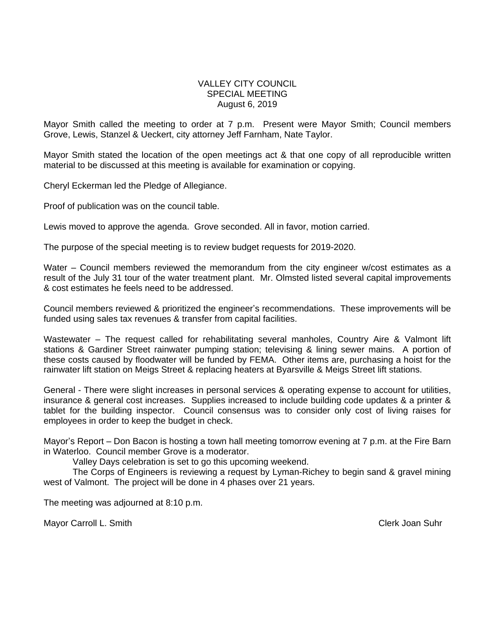#### VALLEY CITY COUNCIL SPECIAL MEETING August 6, 2019

Mayor Smith called the meeting to order at 7 p.m. Present were Mayor Smith; Council members Grove, Lewis, Stanzel & Ueckert, city attorney Jeff Farnham, Nate Taylor.

Mayor Smith stated the location of the open meetings act & that one copy of all reproducible written material to be discussed at this meeting is available for examination or copying.

Cheryl Eckerman led the Pledge of Allegiance.

Proof of publication was on the council table.

Lewis moved to approve the agenda. Grove seconded. All in favor, motion carried.

The purpose of the special meeting is to review budget requests for 2019-2020.

Water – Council members reviewed the memorandum from the city engineer w/cost estimates as a result of the July 31 tour of the water treatment plant. Mr. Olmsted listed several capital improvements & cost estimates he feels need to be addressed.

Council members reviewed & prioritized the engineer's recommendations. These improvements will be funded using sales tax revenues & transfer from capital facilities.

Wastewater – The request called for rehabilitating several manholes, Country Aire & Valmont lift stations & Gardiner Street rainwater pumping station; televising & lining sewer mains. A portion of these costs caused by floodwater will be funded by FEMA. Other items are, purchasing a hoist for the rainwater lift station on Meigs Street & replacing heaters at Byarsville & Meigs Street lift stations.

General - There were slight increases in personal services & operating expense to account for utilities, insurance & general cost increases. Supplies increased to include building code updates & a printer & tablet for the building inspector. Council consensus was to consider only cost of living raises for employees in order to keep the budget in check.

Mayor's Report – Don Bacon is hosting a town hall meeting tomorrow evening at 7 p.m. at the Fire Barn in Waterloo. Council member Grove is a moderator.

Valley Days celebration is set to go this upcoming weekend.

The Corps of Engineers is reviewing a request by Lyman-Richey to begin sand & gravel mining west of Valmont. The project will be done in 4 phases over 21 years.

The meeting was adjourned at 8:10 p.m.

Mayor Carroll L. Smith Clerk Joan Suhr Clerk Joan Suhr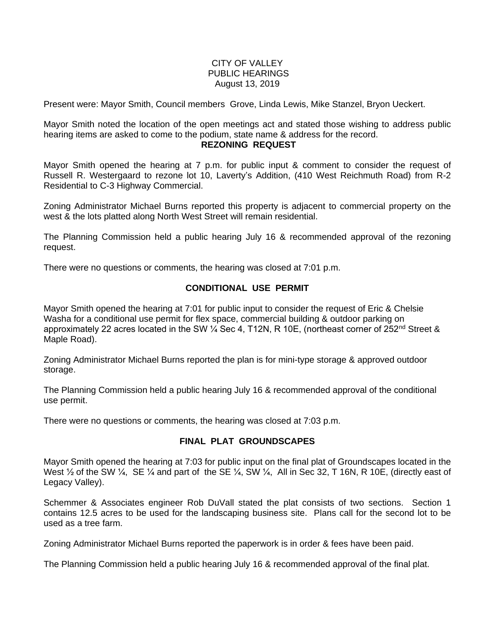## CITY OF VALLEY PUBLIC HEARINGS August 13, 2019

Present were: Mayor Smith, Council members Grove, Linda Lewis, Mike Stanzel, Bryon Ueckert.

Mayor Smith noted the location of the open meetings act and stated those wishing to address public hearing items are asked to come to the podium, state name & address for the record.

#### **REZONING REQUEST**

Mayor Smith opened the hearing at 7 p.m. for public input & comment to consider the request of Russell R. Westergaard to rezone lot 10, Laverty's Addition, (410 West Reichmuth Road) from R-2 Residential to C-3 Highway Commercial.

Zoning Administrator Michael Burns reported this property is adjacent to commercial property on the west & the lots platted along North West Street will remain residential.

The Planning Commission held a public hearing July 16 & recommended approval of the rezoning request.

There were no questions or comments, the hearing was closed at 7:01 p.m.

# **CONDITIONAL USE PERMIT**

Mayor Smith opened the hearing at 7:01 for public input to consider the request of Eric & Chelsie Washa for a conditional use permit for flex space, commercial building & outdoor parking on approximately 22 acres located in the SW 1/4 Sec 4, T12N, R 10E, (northeast corner of 252<sup>nd</sup> Street & Maple Road).

Zoning Administrator Michael Burns reported the plan is for mini-type storage & approved outdoor storage.

The Planning Commission held a public hearing July 16 & recommended approval of the conditional use permit.

There were no questions or comments, the hearing was closed at 7:03 p.m.

# **FINAL PLAT GROUNDSCAPES**

Mayor Smith opened the hearing at 7:03 for public input on the final plat of Groundscapes located in the West  $\frac{1}{2}$  of the SW  $\frac{1}{4}$ , SE  $\frac{1}{4}$  and part of the SE  $\frac{1}{4}$ , SW  $\frac{1}{4}$ , All in Sec 32, T 16N, R 10E, (directly east of Legacy Valley).

Schemmer & Associates engineer Rob DuVall stated the plat consists of two sections. Section 1 contains 12.5 acres to be used for the landscaping business site. Plans call for the second lot to be used as a tree farm.

Zoning Administrator Michael Burns reported the paperwork is in order & fees have been paid.

The Planning Commission held a public hearing July 16 & recommended approval of the final plat.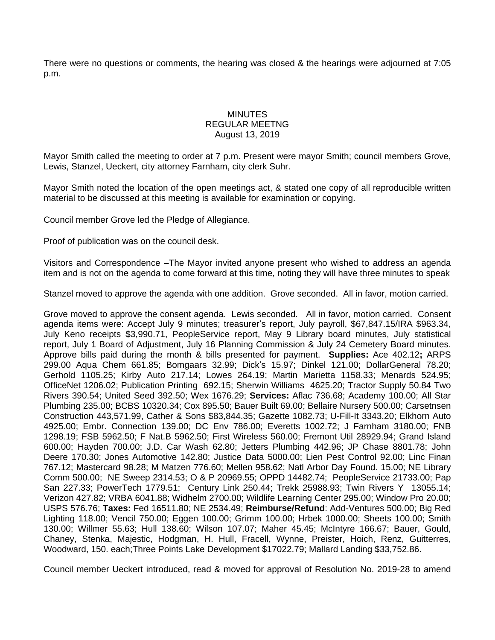There were no questions or comments, the hearing was closed & the hearings were adjourned at 7:05 p.m.

## MINUTES REGULAR MEETNG August 13, 2019

Mayor Smith called the meeting to order at 7 p.m. Present were mayor Smith; council members Grove, Lewis, Stanzel, Ueckert, city attorney Farnham, city clerk Suhr.

Mayor Smith noted the location of the open meetings act, & stated one copy of all reproducible written material to be discussed at this meeting is available for examination or copying.

Council member Grove led the Pledge of Allegiance.

Proof of publication was on the council desk.

Visitors and Correspondence –The Mayor invited anyone present who wished to address an agenda item and is not on the agenda to come forward at this time, noting they will have three minutes to speak

Stanzel moved to approve the agenda with one addition. Grove seconded. All in favor, motion carried.

Grove moved to approve the consent agenda. Lewis seconded. All in favor, motion carried. Consent agenda items were: Accept July 9 minutes; treasurer's report, July payroll, \$67,847.15/IRA \$963.34, July Keno receipts \$3,990.71, PeopleService report, May 9 Library board minutes, July statistical report, July 1 Board of Adjustment, July 16 Planning Commission & July 24 Cemetery Board minutes. Approve bills paid during the month & bills presented for payment. **Supplies:** Ace 402.12**;** ARPS 299.00 Aqua Chem 661.85; Bomgaars 32.99; Dick's 15.97; Dinkel 121.00; DollarGeneral 78.20; Gerhold 1105.25; Kirby Auto 217.14; Lowes 264.19; Martin Marietta 1158.33; Menards 524.95; OfficeNet 1206.02; Publication Printing 692.15; Sherwin Williams 4625.20; Tractor Supply 50.84 Two Rivers 390.54; United Seed 392.50; Wex 1676.29; **Services:** Aflac 736.68; Academy 100.00; All Star Plumbing 235.00; BCBS 10320.34; Cox 895.50; Bauer Built 69.00; Bellaire Nursery 500.00; Carsetnsen Construction 443,571.99, Cather & Sons \$83,844.35; Gazette 1082.73; U-Fill-It 3343.20; Elkhorn Auto 4925.00; Embr. Connection 139.00; DC Env 786.00; Everetts 1002.72; J Farnham 3180.00; FNB 1298.19; FSB 5962.50; F Nat.B 5962.50; First Wireless 560.00; Fremont Util 28929.94; Grand Island 600.00; Hayden 700.00; J.D. Car Wash 62.80; Jetters Plumbing 442.96; JP Chase 8801.78; John Deere 170.30; Jones Automotive 142.80; Justice Data 5000.00; Lien Pest Control 92.00; Linc Finan 767.12; Mastercard 98.28; M Matzen 776.60; Mellen 958.62; Natl Arbor Day Found. 15.00; NE Library Comm 500.00; NE Sweep 2314.53; O & P 20969.55; OPPD 14482.74; PeopleService 21733.00; Pap San 227.33; PowerTech 1779.51; Century Link 250.44; Trekk 25988.93; Twin Rivers Y 13055.14; Verizon 427.82; VRBA 6041.88; Widhelm 2700.00; Wildlife Learning Center 295.00; Window Pro 20.00; USPS 576.76; **Taxes:** Fed 16511.80; NE 2534.49; **Reimburse/Refund**: Add-Ventures 500.00; Big Red Lighting 118.00; Vencil 750.00; Eggen 100.00; Grimm 100.00; Hrbek 1000.00; Sheets 100.00; Smith 130.00; Willmer 55.63; Hull 138.60; Wilson 107.07; Maher 45.45; McIntyre 166.67; Bauer, Gould, Chaney, Stenka, Majestic, Hodgman, H. Hull, Fracell, Wynne, Preister, Hoich, Renz, Guitterres, Woodward, 150. each;Three Points Lake Development \$17022.79; Mallard Landing \$33,752.86.

Council member Ueckert introduced, read & moved for approval of Resolution No. 2019-28 to amend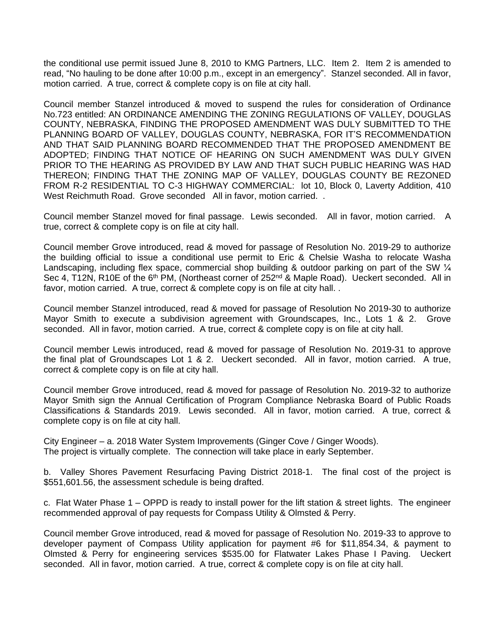the conditional use permit issued June 8, 2010 to KMG Partners, LLC. Item 2. Item 2 is amended to read, "No hauling to be done after 10:00 p.m., except in an emergency". Stanzel seconded. All in favor, motion carried. A true, correct & complete copy is on file at city hall.

Council member Stanzel introduced & moved to suspend the rules for consideration of Ordinance No.723 entitled: AN ORDINANCE AMENDING THE ZONING REGULATIONS OF VALLEY, DOUGLAS COUNTY, NEBRASKA, FINDING THE PROPOSED AMENDMENT WAS DULY SUBMITTED TO THE PLANNING BOARD OF VALLEY, DOUGLAS COUNTY, NEBRASKA, FOR IT'S RECOMMENDATION AND THAT SAID PLANNING BOARD RECOMMENDED THAT THE PROPOSED AMENDMENT BE ADOPTED; FINDING THAT NOTICE OF HEARING ON SUCH AMENDMENT WAS DULY GIVEN PRIOR TO THE HEARING AS PROVIDED BY LAW AND THAT SUCH PUBLIC HEARING WAS HAD THEREON; FINDING THAT THE ZONING MAP OF VALLEY, DOUGLAS COUNTY BE REZONED FROM R-2 RESIDENTIAL TO C-3 HIGHWAY COMMERCIAL: lot 10, Block 0, Laverty Addition, 410 West Reichmuth Road. Grove seconded All in favor, motion carried. .

Council member Stanzel moved for final passage. Lewis seconded. All in favor, motion carried. A true, correct & complete copy is on file at city hall.

Council member Grove introduced, read & moved for passage of Resolution No. 2019-29 to authorize the building official to issue a conditional use permit to Eric & Chelsie Washa to relocate Washa Landscaping, including flex space, commercial shop building & outdoor parking on part of the SW  $\frac{1}{4}$ Sec 4, T12N, R10E of the 6<sup>th</sup> PM, (Northeast corner of 252<sup>nd</sup> & Maple Road). Ueckert seconded. All in favor, motion carried. A true, correct & complete copy is on file at city hall. .

Council member Stanzel introduced, read & moved for passage of Resolution No 2019-30 to authorize Mayor Smith to execute a subdivision agreement with Groundscapes, Inc., Lots 1 & 2. Grove seconded. All in favor, motion carried. A true, correct & complete copy is on file at city hall.

Council member Lewis introduced, read & moved for passage of Resolution No. 2019-31 to approve the final plat of Groundscapes Lot 1 & 2. Ueckert seconded. All in favor, motion carried. A true, correct & complete copy is on file at city hall.

Council member Grove introduced, read & moved for passage of Resolution No. 2019-32 to authorize Mayor Smith sign the Annual Certification of Program Compliance Nebraska Board of Public Roads Classifications & Standards 2019. Lewis seconded. All in favor, motion carried. A true, correct & complete copy is on file at city hall.

City Engineer – a. 2018 Water System Improvements (Ginger Cove / Ginger Woods). The project is virtually complete. The connection will take place in early September.

b. Valley Shores Pavement Resurfacing Paving District 2018-1. The final cost of the project is \$551,601.56, the assessment schedule is being drafted.

c. Flat Water Phase 1 – OPPD is ready to install power for the lift station & street lights. The engineer recommended approval of pay requests for Compass Utility & Olmsted & Perry.

Council member Grove introduced, read & moved for passage of Resolution No. 2019-33 to approve to developer payment of Compass Utility application for payment #6 for \$11,854.34, & payment to Olmsted & Perry for engineering services \$535.00 for Flatwater Lakes Phase I Paving. Ueckert seconded. All in favor, motion carried. A true, correct & complete copy is on file at city hall.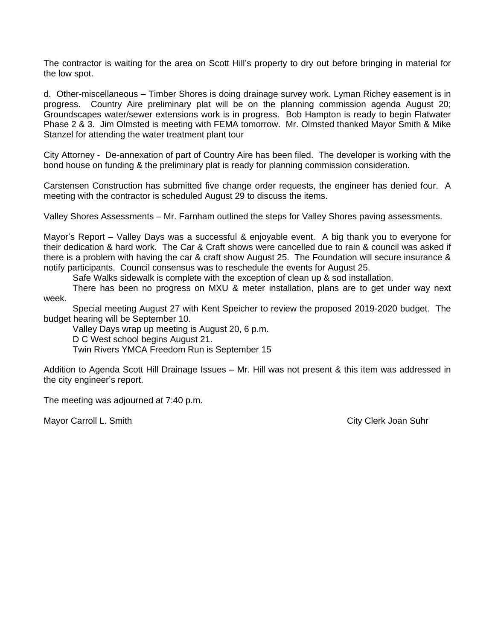The contractor is waiting for the area on Scott Hill's property to dry out before bringing in material for the low spot.

d. Other-miscellaneous – Timber Shores is doing drainage survey work. Lyman Richey easement is in progress. Country Aire preliminary plat will be on the planning commission agenda August 20; Groundscapes water/sewer extensions work is in progress. Bob Hampton is ready to begin Flatwater Phase 2 & 3. Jim Olmsted is meeting with FEMA tomorrow. Mr. Olmsted thanked Mayor Smith & Mike Stanzel for attending the water treatment plant tour

City Attorney - De-annexation of part of Country Aire has been filed. The developer is working with the bond house on funding & the preliminary plat is ready for planning commission consideration.

Carstensen Construction has submitted five change order requests, the engineer has denied four. A meeting with the contractor is scheduled August 29 to discuss the items.

Valley Shores Assessments – Mr. Farnham outlined the steps for Valley Shores paving assessments.

Mayor's Report – Valley Days was a successful & enjoyable event. A big thank you to everyone for their dedication & hard work. The Car & Craft shows were cancelled due to rain & council was asked if there is a problem with having the car & craft show August 25. The Foundation will secure insurance & notify participants. Council consensus was to reschedule the events for August 25.

Safe Walks sidewalk is complete with the exception of clean up & sod installation.

There has been no progress on MXU & meter installation, plans are to get under way next week.

Special meeting August 27 with Kent Speicher to review the proposed 2019-2020 budget. The budget hearing will be September 10.

Valley Days wrap up meeting is August 20, 6 p.m.

D C West school begins August 21.

Twin Rivers YMCA Freedom Run is September 15

Addition to Agenda Scott Hill Drainage Issues – Mr. Hill was not present & this item was addressed in the city engineer's report.

The meeting was adjourned at 7:40 p.m.

Mayor Carroll L. Smith City Clerk Joan Suhr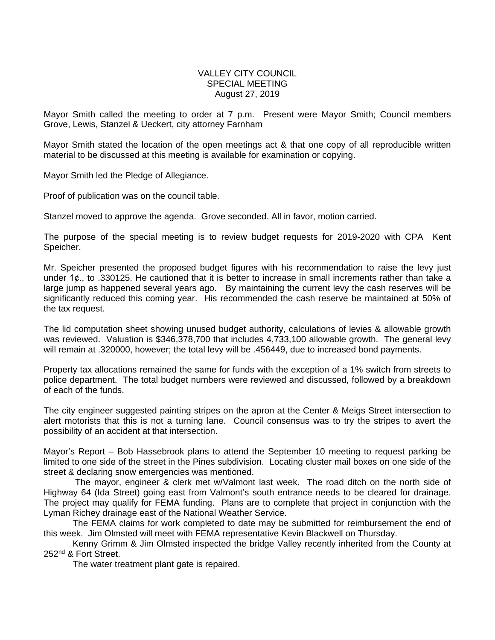## VALLEY CITY COUNCIL SPECIAL MEETING August 27, 2019

Mayor Smith called the meeting to order at 7 p.m. Present were Mayor Smith; Council members Grove, Lewis, Stanzel & Ueckert, city attorney Farnham

Mayor Smith stated the location of the open meetings act & that one copy of all reproducible written material to be discussed at this meeting is available for examination or copying.

Mayor Smith led the Pledge of Allegiance.

Proof of publication was on the council table.

Stanzel moved to approve the agenda. Grove seconded. All in favor, motion carried.

The purpose of the special meeting is to review budget requests for 2019-2020 with CPA Kent Speicher.

Mr. Speicher presented the proposed budget figures with his recommendation to raise the levy just under 1¢., to .330125. He cautioned that it is better to increase in small increments rather than take a large jump as happened several years ago. By maintaining the current levy the cash reserves will be significantly reduced this coming year. His recommended the cash reserve be maintained at 50% of the tax request.

The lid computation sheet showing unused budget authority, calculations of levies & allowable growth was reviewed. Valuation is \$346,378,700 that includes 4,733,100 allowable growth. The general levy will remain at .320000, however; the total levy will be .456449, due to increased bond payments.

Property tax allocations remained the same for funds with the exception of a 1% switch from streets to police department. The total budget numbers were reviewed and discussed, followed by a breakdown of each of the funds.

The city engineer suggested painting stripes on the apron at the Center & Meigs Street intersection to alert motorists that this is not a turning lane. Council consensus was to try the stripes to avert the possibility of an accident at that intersection.

Mayor's Report – Bob Hassebrook plans to attend the September 10 meeting to request parking be limited to one side of the street in the Pines subdivision. Locating cluster mail boxes on one side of the street & declaring snow emergencies was mentioned.

The mayor, engineer & clerk met w/Valmont last week. The road ditch on the north side of Highway 64 (Ida Street) going east from Valmont's south entrance needs to be cleared for drainage. The project may qualify for FEMA funding. Plans are to complete that project in conjunction with the Lyman Richey drainage east of the National Weather Service.

The FEMA claims for work completed to date may be submitted for reimbursement the end of this week. Jim Olmsted will meet with FEMA representative Kevin Blackwell on Thursday.

Kenny Grimm & Jim Olmsted inspected the bridge Valley recently inherited from the County at 252nd & Fort Street.

The water treatment plant gate is repaired.